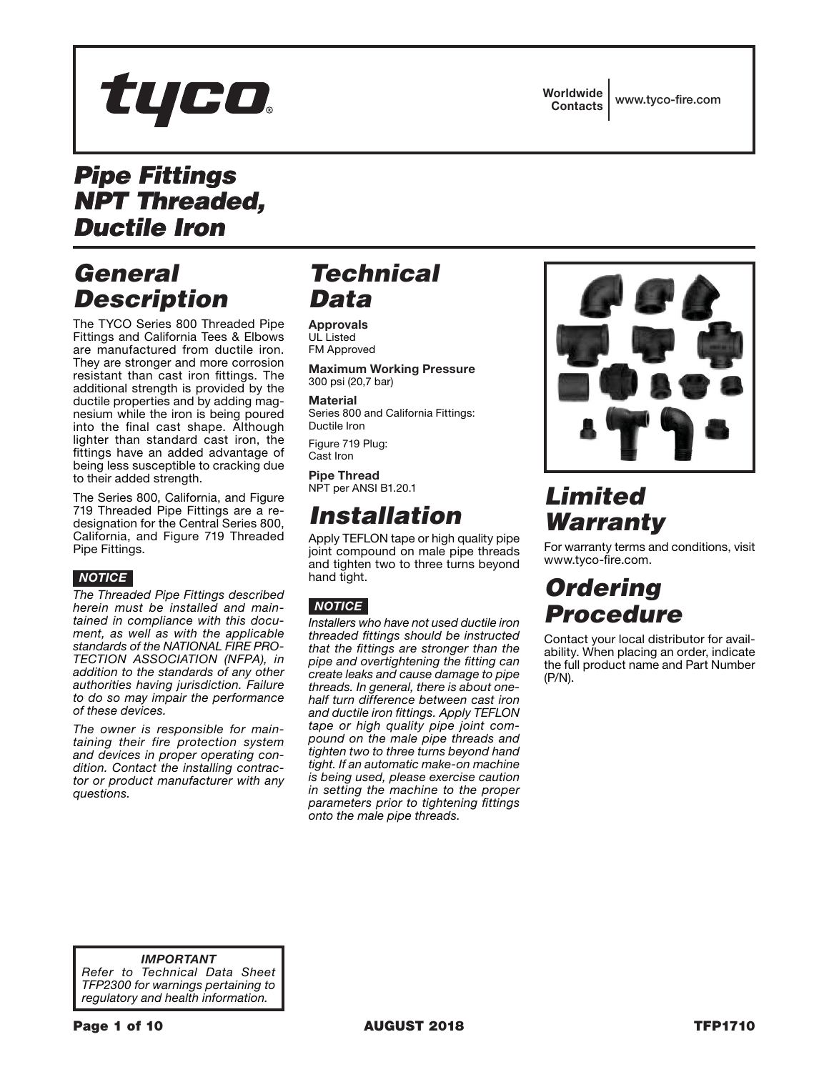# tyco.

#### *Pipe Fittings NPT Threaded, Ductile Iron*

### *General Description*

The TYCO Series 800 Threaded Pipe Fittings and California Tees & Elbows are manufactured from ductile iron. They are stronger and more corrosion resistant than cast iron fittings. The additional strength is provided by the ductile properties and by adding magnesium while the iron is being poured into the final cast shape. Although lighter than standard cast iron, the fittings have an added advantage of being less susceptible to cracking due to their added strength.

The Series 800, California, and Figure 719 Threaded Pipe Fittings are a redesignation for the Central Series 800, California, and Figure 719 Threaded Pipe Fittings.

#### *NOTICE*

*The Threaded Pipe Fittings described herein must be installed and maintained in compliance with this document, as well as with the applicable standards of the NATIONAL FIRE PRO-TECTION ASSOCIATION (NFPA), in addition to the standards of any other authorities having jurisdiction. Failure to do so may impair the performance of these devices.*

*The owner is responsible for maintaining their fire protection system and devices in proper operating condition. Contact the installing contractor or product manufacturer with any questions.*

## *Technical Data*

Approvals UL Listed FM Approved

Maximum Working Pressure 300 psi (20,7 bar)

**Material** Series 800 and California Fittings: Ductile Iron

Figure 719 Plug: Cast Iron

Pipe Thread NPT per ANSI B1.20.1

#### *Installation*

Apply TEFLON tape or high quality pipe joint compound on male pipe threads and tighten two to three turns beyond hand tight.

#### *NOTICE*

*Installers who have not used ductile iron threaded fittings should be instructed that the fittings are stronger than the pipe and overtightening the fitting can create leaks and cause damage to pipe threads. In general, there is about onehalf turn difference between cast iron and ductile iron fittings. Apply TEFLON tape or high quality pipe joint compound on the male pipe threads and tighten two to three turns beyond hand tight. If an automatic make-on machine is being used, please exercise caution in setting the machine to the proper parameters prior to tightening fittings onto the male pipe threads.*



## *Limited Warranty*

For warranty terms and conditions, visit www.tyco-fire.com.

### *Ordering Procedure*

Contact your local distributor for availability. When placing an order, indicate the full product name and Part Number (P/N).

*IMPORTANT Refer to Technical Data Sheet TFP2300 for warnings pertaining to regulatory and health information.*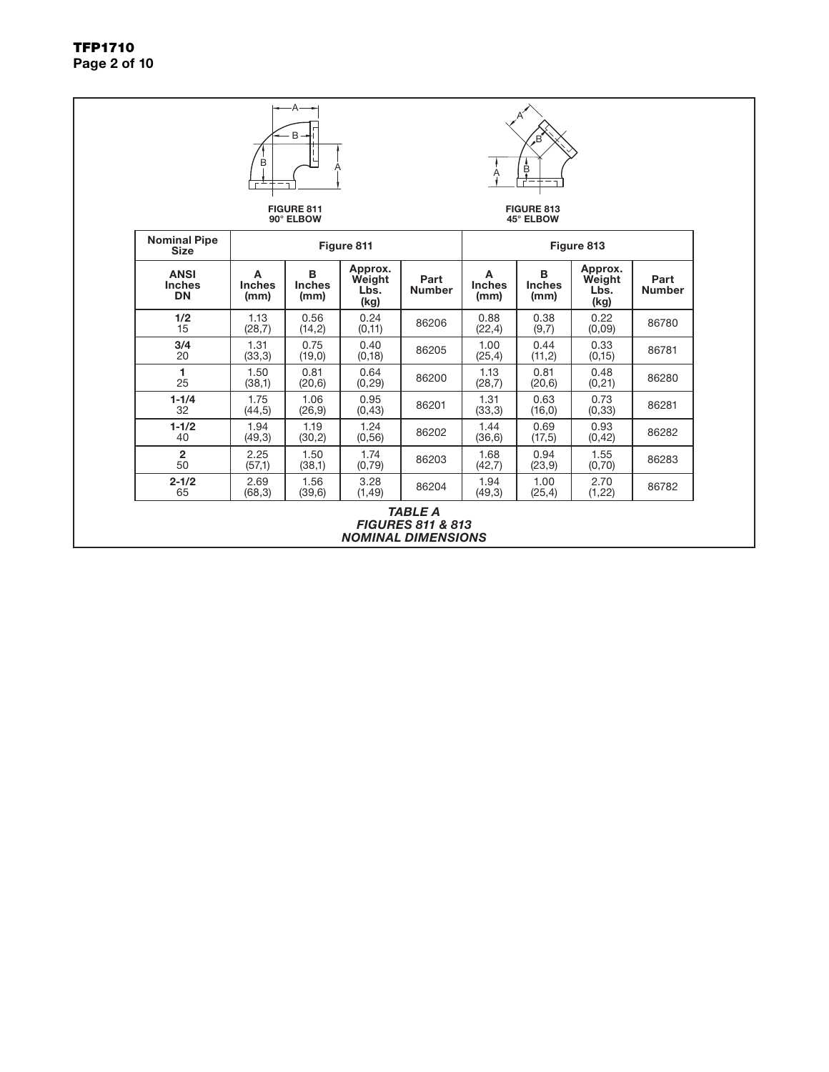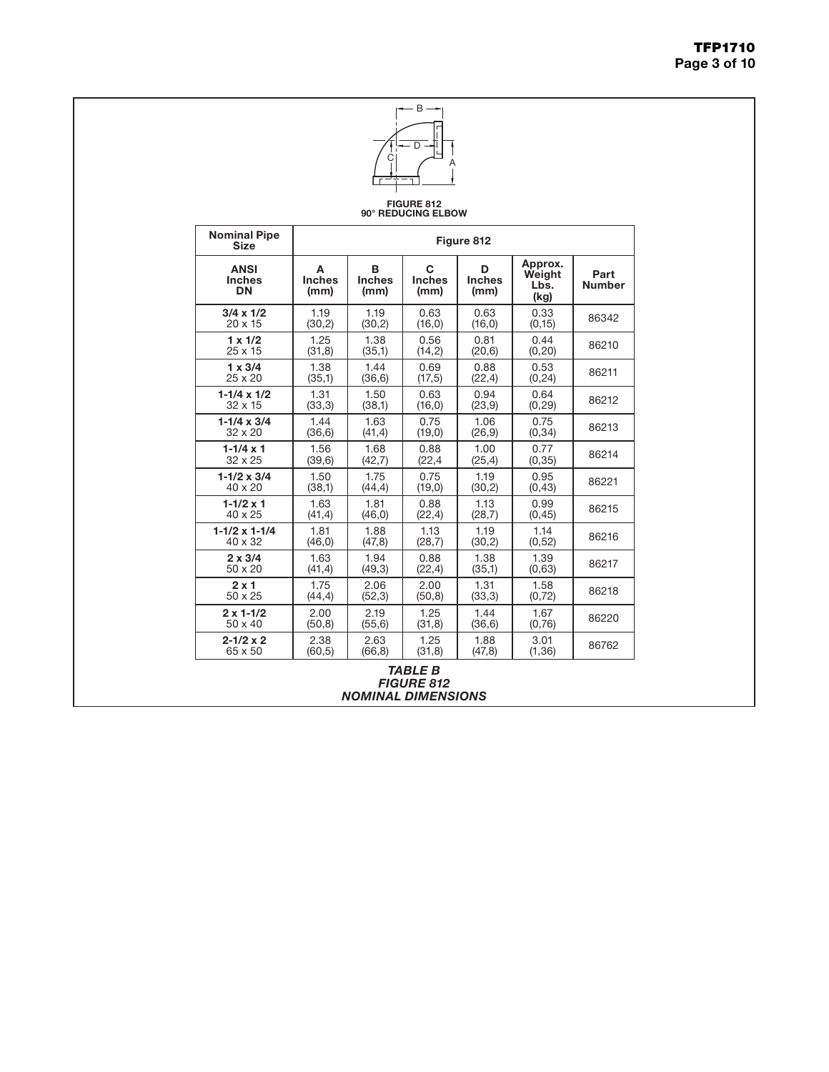

#### FIGURE 812 90° REDUCING ELBOW

| <b>Size</b><br><b>ANSI</b><br><b>Inches</b><br><b>DN</b> | A<br><b>Inches</b><br>(mm) | B<br><b>Inches</b><br>(mm) | C<br><b>Inches</b><br>(mm) | Figure 812<br>D<br><b>Inches</b><br>(mm) | Approx.<br>Weight<br>Lbs.<br>(kg) | Part<br><b>Number</b> |
|----------------------------------------------------------|----------------------------|----------------------------|----------------------------|------------------------------------------|-----------------------------------|-----------------------|
| $3/4 \times 1/2$                                         | 1.19                       | 1.19                       | 0.63                       | 0.63                                     | 0.33                              | 86342                 |
| $20 \times 15$                                           | (30,2)                     | (30,2)                     | (16, 0)                    | (16, 0)                                  | (0, 15)                           |                       |
| $1 \times 1/2$                                           | 1.25                       | 1.38                       | 0.56                       | 0.81                                     | 0.44                              | 86210                 |
| $25 \times 15$                                           | (31, 8)                    | (35,1)                     | (14,2)                     | (20,6)                                   | (0, 20)                           |                       |
| $1 \times 3/4$                                           | 1.38                       | 1.44                       | 0.69                       | 0.88                                     | 0.53                              | 86211                 |
| $25 \times 20$                                           | (35,1)                     | (36, 6)                    | (17,5)                     | (22, 4)                                  | (0, 24)                           |                       |
| $1-1/4 \times 1/2$                                       | 1.31                       | 1.50                       | 0.63                       | 0.94                                     | 0.64                              | 86212                 |
| $32 \times 15$                                           | (33,3)                     | (38,1)                     | (16, 0)                    | (23, 9)                                  | (0, 29)                           |                       |
| $1 - 1/4 \times 3/4$                                     | 1.44                       | 1.63                       | 0.75                       | 1.06                                     | 0.75                              | 86213                 |
| $32 \times 20$                                           | (36, 6)                    | (41, 4)                    | (19,0)                     | (26, 9)                                  | (0, 34)                           |                       |
| $1 - 1/4 \times 1$                                       | 1.56                       | 1.68                       | 0.88                       | 1.00                                     | 0.77                              | 86214                 |
| $32 \times 25$                                           | (39,6)                     | (42,7)                     | (22, 4)                    | (25, 4)                                  | (0, 35)                           |                       |
| $1-1/2 \times 3/4$                                       | 1.50                       | 1.75                       | 0.75                       | 1.19                                     | 0.95                              | 86221                 |
| $40 \times 20$                                           | (38,1)                     | (44, 4)                    | (19,0)                     | (30,2)                                   | (0, 43)                           |                       |
| $1 - 1/2 \times 1$                                       | 1.63                       | 1.81                       | 0.88                       | 1.13                                     | 0.99                              | 86215                 |
| $40 \times 25$                                           | (41, 4)                    | (46, 0)                    | (22, 4)                    | (28,7)                                   | (0, 45)                           |                       |
| $1-1/2 \times 1-1/4$                                     | 1.81                       | 1.88                       | 1.13                       | 1.19                                     | 1.14                              | 86216                 |
| $40 \times 32$                                           | (46, 0)                    | (47, 8)                    | (28,7)                     | (30,2)                                   | (0, 52)                           |                       |
| $2 \times 3/4$                                           | 1.63                       | 1.94                       | 0.88                       | 1.38                                     | 1.39                              | 86217                 |
| $50 \times 20$                                           | (41, 4)                    | (49,3)                     | (22, 4)                    | (35,1)                                   | (0,63)                            |                       |
| $2 \times 1$                                             | 1.75                       | 2.06                       | 2.00                       | 1.31                                     | 1.58                              | 86218                 |
| 50 x 25                                                  | (44, 4)                    | (52,3)                     | (50, 8)                    | (33,3)                                   | (0, 72)                           |                       |
| $2 \times 1 - 1/2$                                       | 2.00                       | 2.19                       | 1.25                       | 1.44                                     | 1.67                              | 86220                 |
| $50 \times 40$                                           | (50, 8)                    | (55, 6)                    | (31, 8)                    | (36, 6)                                  | (0,76)                            |                       |
| $2 - 1/2 \times 2$                                       | 2.38                       | 2.63                       | 1.25                       | 1.88                                     | 3.01                              | 86762                 |
| 65 x 50                                                  | (60, 5)                    | (66, 8)                    | (31,8)                     | (47, 8)                                  | (1, 36)                           |                       |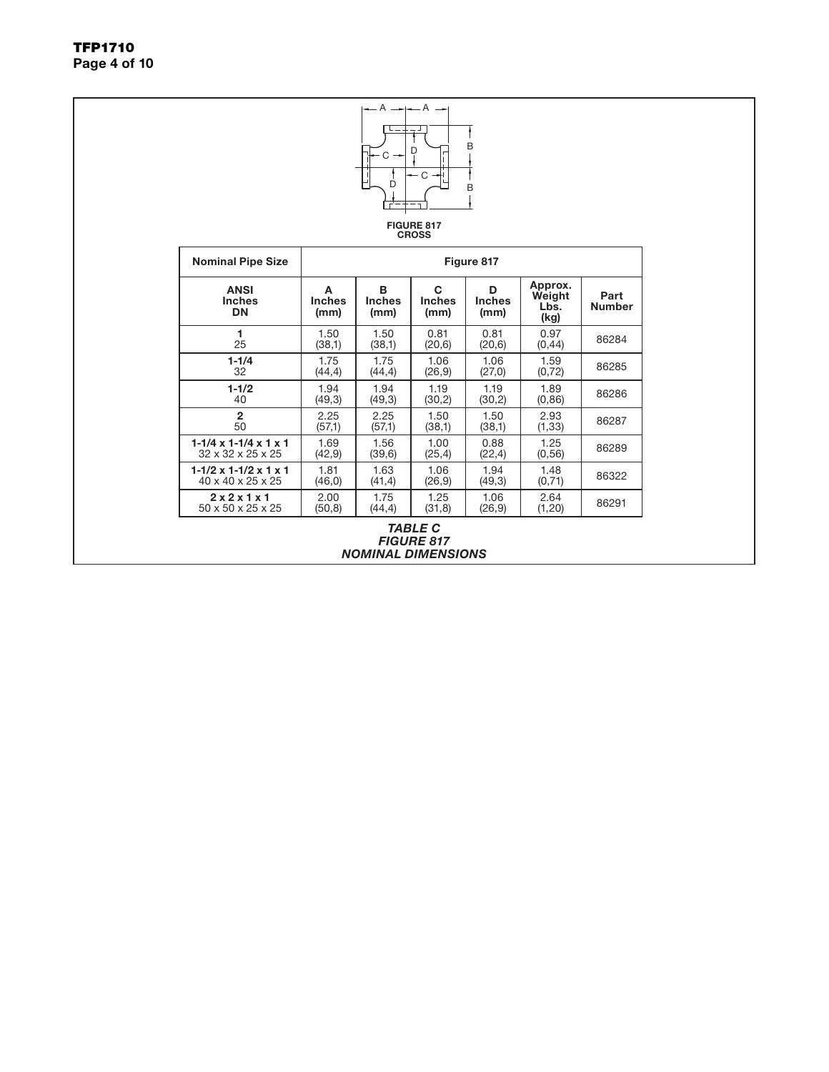TFP1710 Page 4 of 10

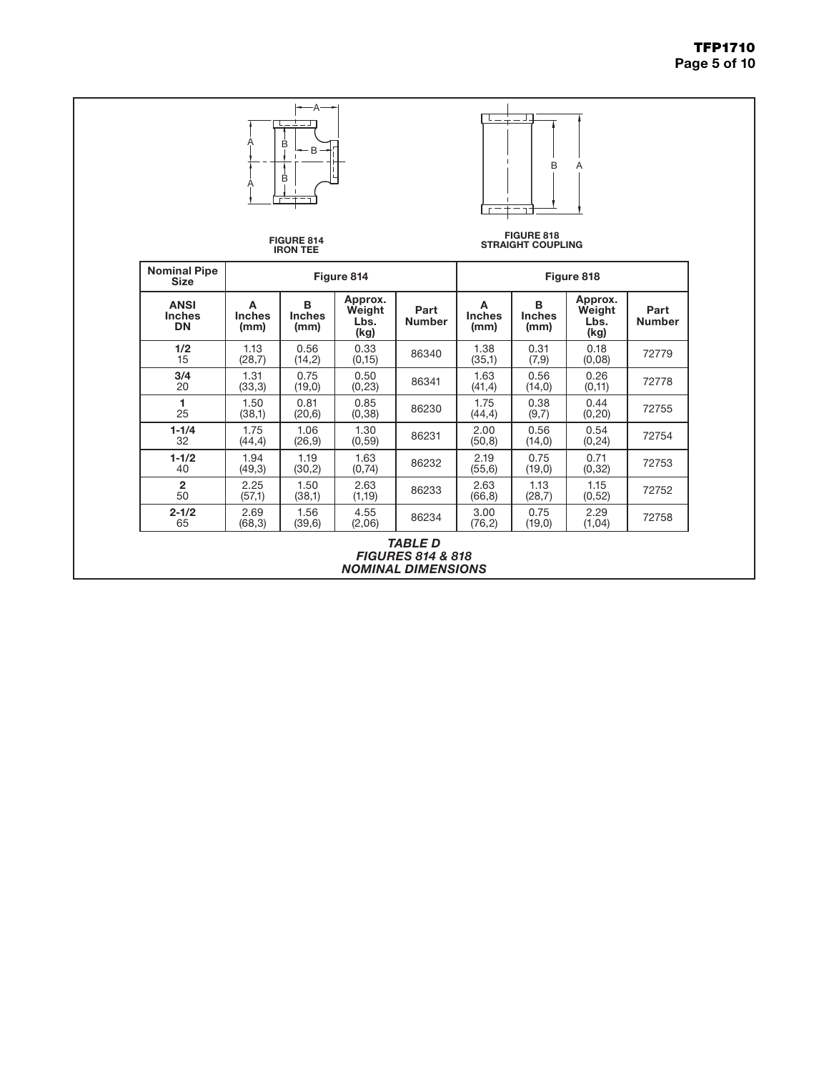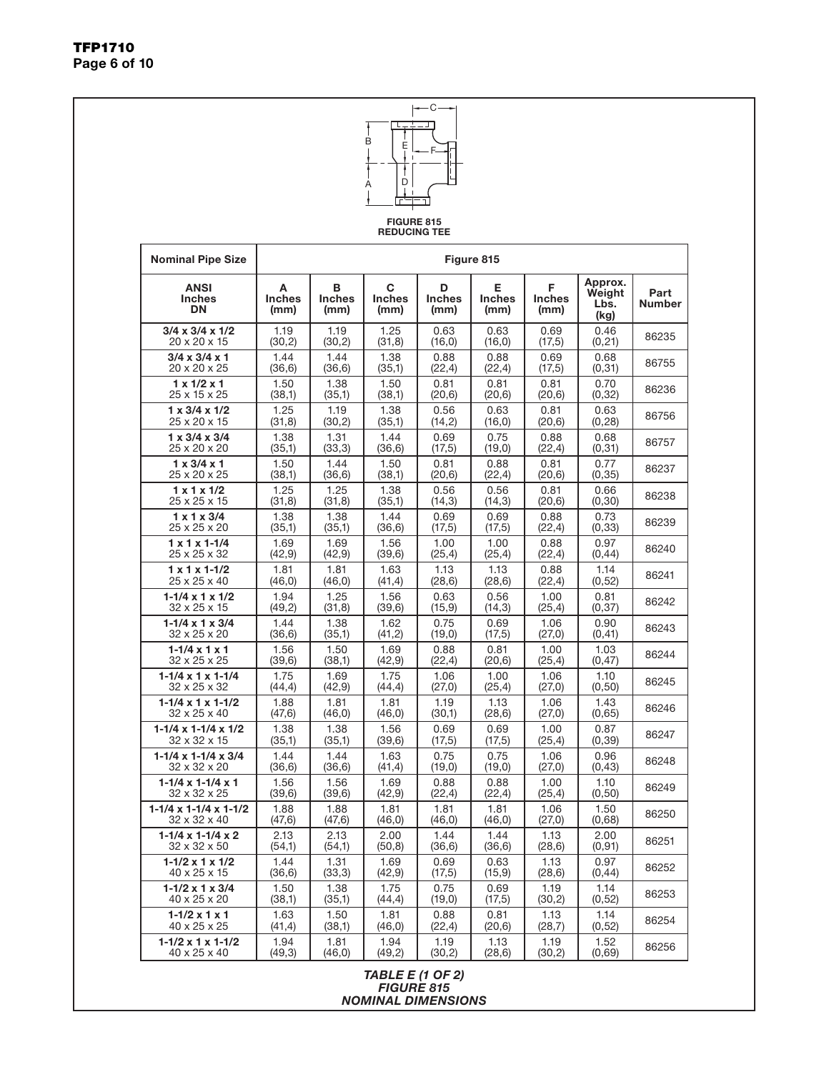Page 6 of 10



TFP1710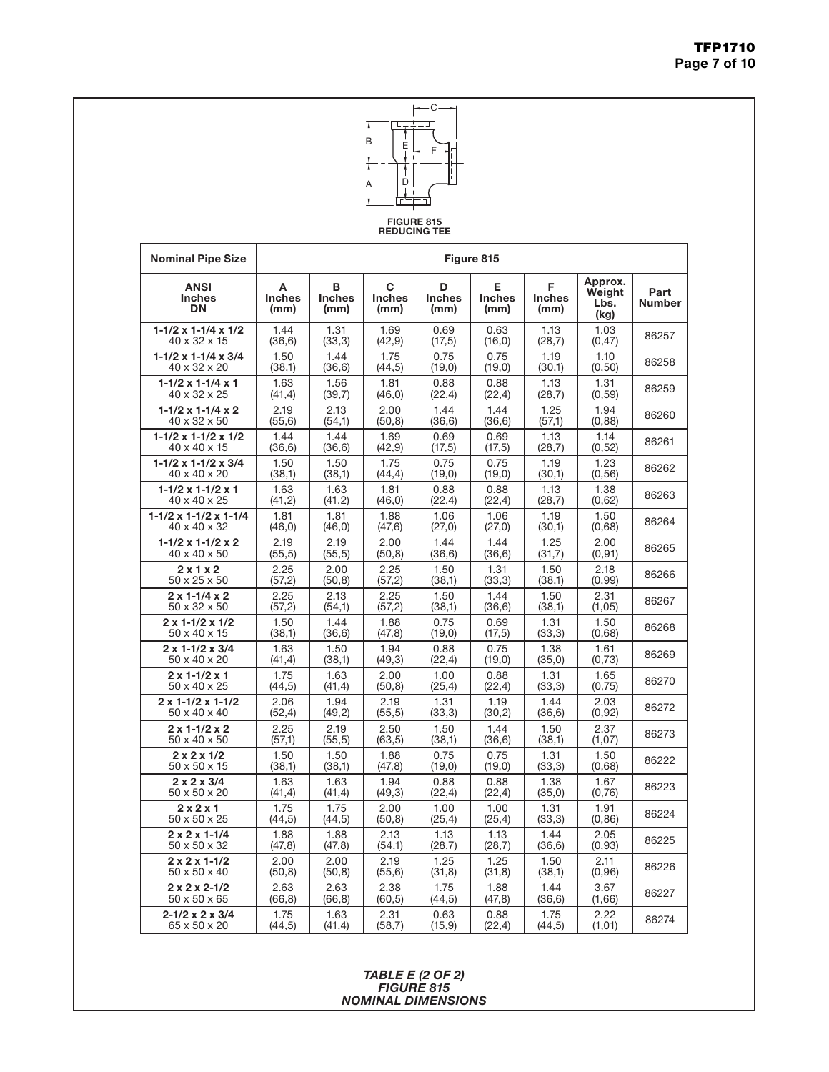

FIGURE 815 REDUCING TEE

| <b>Nominal Pipe Size</b>                  | Figure 815                 |                            |                            |                            |                            |                            |                                   |                       |  |  |
|-------------------------------------------|----------------------------|----------------------------|----------------------------|----------------------------|----------------------------|----------------------------|-----------------------------------|-----------------------|--|--|
| <b>ANSI</b><br><b>Inches</b><br><b>DN</b> | А<br><b>Inches</b><br>(mm) | В<br><b>Inches</b><br>(mm) | C<br><b>Inches</b><br>(mm) | D<br><b>Inches</b><br>(mm) | E<br><b>Inches</b><br>(mm) | F<br><b>Inches</b><br>(mm) | Approx.<br>Weight<br>Lbs.<br>(kg) | Part<br><b>Number</b> |  |  |
| $1-1/2 \times 1-1/4 \times 1/2$           | 1.44                       | 1.31                       | 1.69                       | 0.69                       | 0.63                       | 1.13                       | 1.03                              | 86257                 |  |  |
| 40 x 32 x 15                              | (36, 6)                    | (33,3)                     | (42, 9)                    | (17,5)                     | (16, 0)                    | (28,7)                     | (0, 47)                           |                       |  |  |
| $1-1/2 \times 1-1/4 \times 3/4$           | 1.50                       | 1.44                       | 1.75                       | 0.75                       | 0.75                       | 1.19                       | 1.10                              | 86258                 |  |  |
| 40 x 32 x 20                              | (38,1)                     | (36, 6)                    | (44,5)                     | (19, 0)                    | (19,0)                     | (30,1)                     | (0,50)                            |                       |  |  |
| $1 - 1/2 \times 1 - 1/4 \times 1$         | 1.63                       | 1.56                       | 1.81                       | 0.88                       | 0.88                       | 1.13                       | 1.31                              | 86259                 |  |  |
| 40 x 32 x 25                              | (41, 4)                    | (39,7)                     | (46, 0)                    | (22, 4)                    | (22, 4)                    | (28,7)                     | (0, 59)                           |                       |  |  |
| $1-1/2 \times 1-1/4 \times 2$             | 2.19                       | 2.13                       | 2.00                       | 1.44                       | 1.44                       | 1.25                       | 1.94                              | 86260                 |  |  |
| 40 x 32 x 50                              | (55, 6)                    | (54,1)                     | (50, 8)                    | (36, 6)                    | (36, 6)                    | (57,1)                     | (0,88)                            |                       |  |  |
| $1-1/2 \times 1-1/2 \times 1/2$           | 1.44                       | 1.44                       | 1.69                       | 0.69                       | 0.69                       | 1.13                       | 1.14                              | 86261                 |  |  |
| 40 x 40 x 15                              | (36, 6)                    | (36, 6)                    | (42, 9)                    | (17,5)                     | (17,5)                     | (28,7)                     | (0,52)                            |                       |  |  |
| $1-1/2 \times 1-1/2 \times 3/4$           | 1.50                       | 1.50                       | 1.75                       | 0.75                       | 0.75                       | 1.19                       | 1.23                              | 86262                 |  |  |
| 40 x 40 x 20                              | (38,1)                     | (38,1)                     | (44, 4)                    | (19, 0)                    | (19,0)                     | (30,1)                     | (0, 56)                           |                       |  |  |
| $1 - 1/2 \times 1 - 1/2 \times 1$         | 1.63                       | 1.63                       | 1.81                       | 0.88                       | 0.88                       | 1.13                       | 1.38                              | 86263                 |  |  |
| 40 x 40 x 25                              | (41,2)                     | (41,2)                     | (46, 0)                    | (22, 4)                    | (22, 4)                    | (28,7)                     | (0,62)                            |                       |  |  |
| $1-1/2 \times 1-1/2 \times 1-1/4$         | 1.81                       | 1.81                       | 1.88                       | 1.06                       | 1.06                       | 1.19                       | 1.50                              | 86264                 |  |  |
| 40 x 40 x 32                              | (46, 0)                    | (46, 0)                    | (47, 6)                    | (27,0)                     | (27,0)                     | (30,1)                     | (0,68)                            |                       |  |  |
| $1 - 1/2 \times 1 - 1/2 \times 2$         | 2.19                       | 2.19                       | 2.00                       | 1.44                       | 1.44                       | 1.25                       | 2.00                              | 86265                 |  |  |
| 40 x 40 x 50                              | (55, 5)                    | (55, 5)                    | (50,8)                     | (36, 6)                    | (36, 6)                    | (31,7)                     | (0, 91)                           |                       |  |  |
| 2x1x2                                     | 2.25                       | 2.00                       | 2.25                       | 1.50                       | 1.31                       | 1.50                       | 2.18                              | 86266                 |  |  |
| 50 x 25 x 50                              | (57,2)                     | (50, 8)                    | (57,2)                     | (38,1)                     | (33,3)                     | (38,1)                     | (0, 99)                           |                       |  |  |
| $2 \times 1 - 1/4 \times 2$               | 2.25                       | 2.13                       | 2.25                       | 1.50                       | 1.44                       | 1.50                       | 2.31                              | 86267                 |  |  |
| 50 x 32 x 50                              | (57,2)                     | (54,1)                     | (57,2)                     | (38,1)                     | (36, 6)                    | (38,1)                     | (1,05)                            |                       |  |  |
| $2 \times 1 - 1/2 \times 1/2$             | 1.50                       | 1.44                       | 1.88                       | 0.75                       | 0.69                       | 1.31                       | 1.50                              | 86268                 |  |  |
| 50 x 40 x 15                              | (38,1)                     | (36, 6)                    | (47, 8)                    | (19,0)                     | (17,5)                     | (33,3)                     | (0,68)                            |                       |  |  |
| $2 \times 1 - 1/2 \times 3/4$             | 1.63                       | 1.50                       | 1.94                       | 0.88                       | 0.75                       | 1.38                       | 1.61                              | 86269                 |  |  |
| 50 x 40 x 20                              | (41, 4)                    | (38,1)                     | (49,3)                     | (22, 4)                    | (19,0)                     | (35,0)                     | (0,73)                            |                       |  |  |
| $2 \times 1 - 1/2 \times 1$               | 1.75                       | 1.63                       | 2.00                       | 1.00                       | 0.88                       | 1.31                       | 1.65                              | 86270                 |  |  |
| 50 x 40 x 25                              | (44, 5)                    | (41, 4)                    | (50, 8)                    | (25, 4)                    | (22, 4)                    | (33,3)                     | (0,75)                            |                       |  |  |
| $2 \times 1 - 1/2 \times 1 - 1/2$         | 2.06                       | 1.94                       | 2.19                       | 1.31                       | 1.19                       | 1.44                       | 2.03                              | 86272                 |  |  |
| 50 x 40 x 40                              | (52, 4)                    | (49,2)                     | (55, 5)                    | (33,3)                     | (30,2)                     | (36, 6)                    | (0, 92)                           |                       |  |  |
| $2 \times 1 - 1/2 \times 2$               | 2.25                       | 2.19                       | 2.50                       | 1.50                       | 1.44                       | 1.50                       | 2.37                              | 86273                 |  |  |
| 50 x 40 x 50                              | (57,1)                     | (55, 5)                    | (63, 5)                    | (38,1)                     | (36, 6)                    | (38,1)                     | (1,07)                            |                       |  |  |
| $2 \times 2 \times 1/2$                   | 1.50                       | 1.50                       | 1.88                       | 0.75                       | 0.75                       | 1.31                       | 1.50                              | 86222                 |  |  |
| 50 x 50 x 15                              | (38,1)                     | (38,1)                     | (47, 8)                    | (19,0)                     | (19,0)                     | (33,3)                     | (0,68)                            |                       |  |  |
| $2 \times 2 \times 3/4$                   | 1.63                       | 1.63                       | 1.94                       | 0.88                       | 0.88                       | 1.38                       | 1.67                              | 86223                 |  |  |
| 50 x 50 x 20                              | (41,4)                     | (41, 4)                    | (49,3)                     | (22, 4)                    | (22, 4)                    | (35,0)                     | (0,76)                            |                       |  |  |
| 2x2x1                                     | 1.75                       | 1.75                       | 2.00                       | 1.00                       | 1.00                       | 1.31                       | 1.91                              | 86224                 |  |  |
| 50 x 50 x 25                              | (44, 5)                    | (44, 5)                    | (50, 8)                    | (25, 4)                    | (25, 4)                    | (33,3)                     | (0, 86)                           |                       |  |  |
| $2 \times 2 \times 1 - 1/4$               | 1.88                       | 1.88                       | 2.13                       | 1.13                       | 1.13                       | 1.44                       | 2.05                              | 86225                 |  |  |
| 50 x 50 x 32                              | (47, 8)                    | (47, 8)                    | (54,1)                     | (28,7)                     | (28,7)                     | (36, 6)                    | (0, 93)                           |                       |  |  |
| $2 \times 2 \times 1 - 1/2$               | 2.00                       | 2.00                       | 2.19                       | 1.25                       | 1.25                       | 1.50                       | 2.11                              | 86226                 |  |  |
| 50 x 50 x 40                              | (50, 8)                    | (50, 8)                    | (55, 6)                    | (31, 8)                    | (31, 8)                    | (38,1)                     | (0, 96)                           |                       |  |  |
| $2 \times 2 \times 2 - 1/2$               | 2.63                       | 2.63                       | 2.38                       | 1.75                       | 1.88                       | 1.44                       | 3.67                              | 86227                 |  |  |
| 50 x 50 x 65                              | (66, 8)                    | (66, 8)                    | (60,5)                     | (44,5)                     | (47, 8)                    | (36, 6)                    | (1,66)                            |                       |  |  |
| $2 - 1/2 \times 2 \times 3/4$             | 1.75                       | 1.63                       | 2.31                       | 0.63                       | 0.88                       | 1.75                       | 2.22                              | 86274                 |  |  |
| 65 x 50 x 20                              | (44,5)                     | (41, 4)                    | (58,7)                     | (15, 9)                    | (22, 4)                    | (44,5)                     | (1,01)                            |                       |  |  |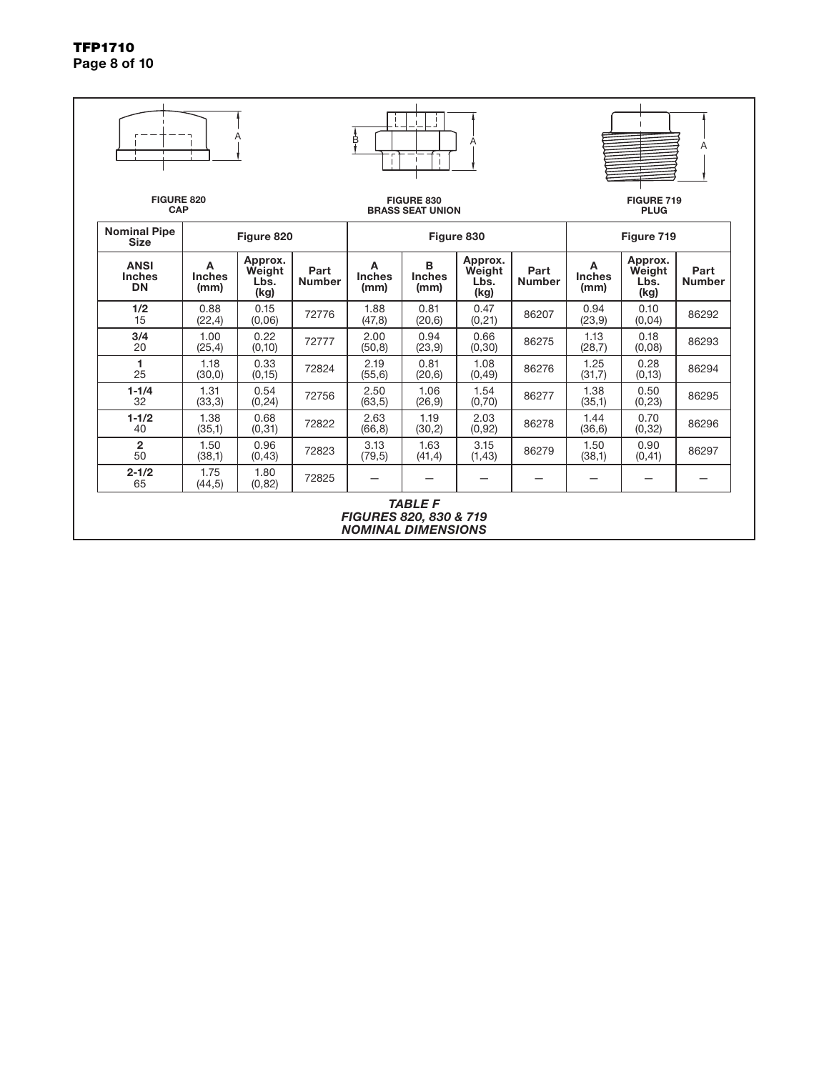TFP1710 Page 8 of 10

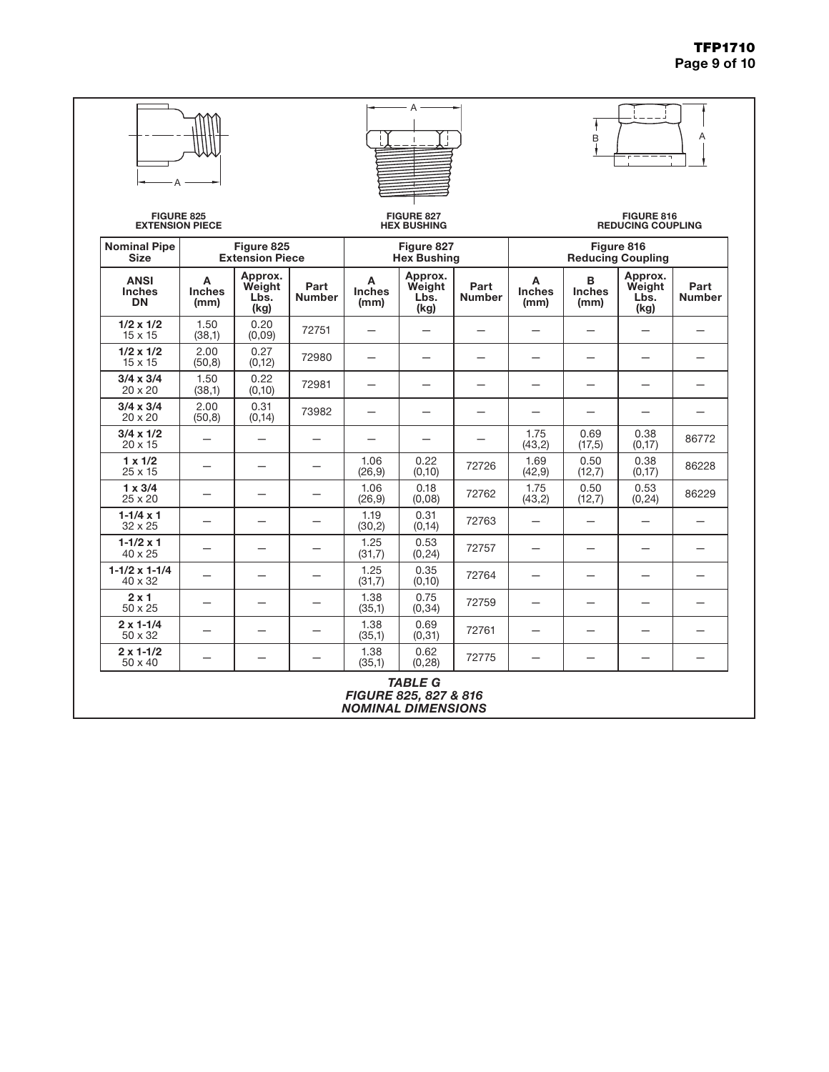